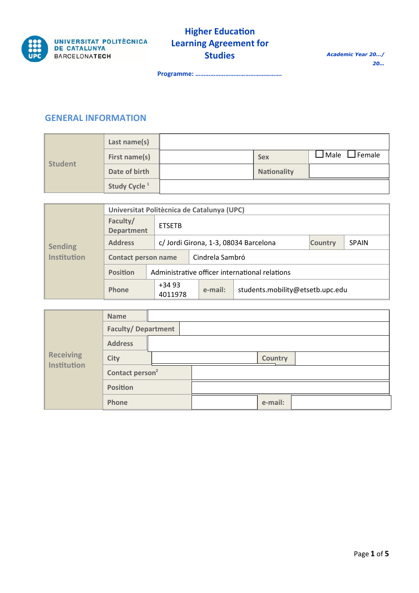

**Programme: …………………………………………….**

## **GENERAL INFORMATION**

|                | Last name(s)             |                    |                                                  |
|----------------|--------------------------|--------------------|--------------------------------------------------|
| <b>Student</b> | First name(s)            | <b>Sex</b>         | $\mathsf{\rfloor}$ Male $\mathsf{\sqcup}$ Female |
|                | Date of birth            | <b>Nationality</b> |                                                  |
|                | Study Cycle <sup>1</sup> |                    |                                                  |

| <b>Sending</b><br><b>Institution</b> | Universitat Politècnica de Catalunya (UPC) |                    |                                                |                |              |  |  |  |  |
|--------------------------------------|--------------------------------------------|--------------------|------------------------------------------------|----------------|--------------|--|--|--|--|
|                                      | Faculty/<br><b>Department</b>              | <b>ETSETB</b>      |                                                |                |              |  |  |  |  |
|                                      | <b>Address</b>                             |                    | c/ Jordi Girona, 1-3, 08034 Barcelona          | <b>Country</b> | <b>SPAIN</b> |  |  |  |  |
|                                      | <b>Contact person name</b>                 |                    | Cindrela Sambró                                |                |              |  |  |  |  |
|                                      | <b>Position</b>                            |                    | Administrative officer international relations |                |              |  |  |  |  |
|                                      | Phone                                      | $+3493$<br>4011978 | students.mobility@etsetb.upc.edu<br>e-mail:    |                |              |  |  |  |  |

|                                        | <b>Name</b>                 |  |         |  |
|----------------------------------------|-----------------------------|--|---------|--|
| <b>Receiving</b><br><b>Institution</b> | <b>Faculty/Department</b>   |  |         |  |
|                                        | <b>Address</b>              |  |         |  |
|                                        | <b>City</b>                 |  | Country |  |
|                                        | Contact person <sup>2</sup> |  |         |  |
|                                        | <b>Position</b>             |  |         |  |
|                                        | Phone                       |  | e-mail: |  |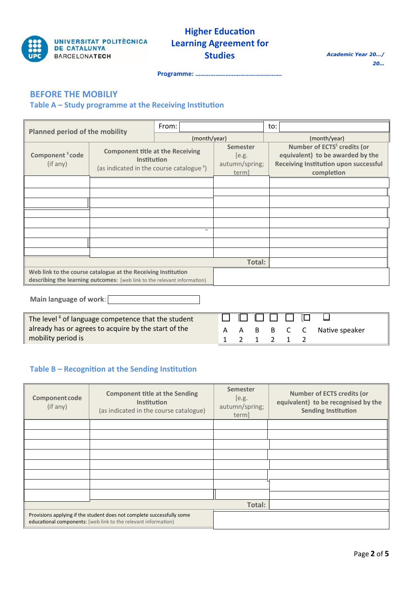

# **Higher Education Learning Agreement for Studies**

*Academic Year 20…/ <sup>20</sup>…*

**Programme: …………………………………………….**

## **BEFORE THE MOBILIY**

### **Table A – Study programme at the Receiving Institution**

| <b>Planned period of the mobility</b>                                |                                                                                                                                           | From:                                        |              | to:                                                                                                                                |  |  |
|----------------------------------------------------------------------|-------------------------------------------------------------------------------------------------------------------------------------------|----------------------------------------------|--------------|------------------------------------------------------------------------------------------------------------------------------------|--|--|
|                                                                      |                                                                                                                                           |                                              | (month/year) | (month/year)                                                                                                                       |  |  |
| Component <sup>3</sup> code<br>(if any)                              | <b>Component title at the Receiving</b><br><b>Institution</b><br>(as indicated in the course catalogue <sup>4</sup> )                     | Semester<br>[e.g.<br>autumn/spring;<br>term] |              | Number of ECTS <sup>5</sup> credits (or<br>equivalent) to be awarded by the<br>Receiving Institution upon successful<br>completion |  |  |
|                                                                      |                                                                                                                                           |                                              |              |                                                                                                                                    |  |  |
|                                                                      |                                                                                                                                           |                                              |              |                                                                                                                                    |  |  |
|                                                                      |                                                                                                                                           |                                              |              |                                                                                                                                    |  |  |
|                                                                      |                                                                                                                                           |                                              |              |                                                                                                                                    |  |  |
|                                                                      |                                                                                                                                           |                                              |              |                                                                                                                                    |  |  |
|                                                                      |                                                                                                                                           | $\qquad \qquad =$                            |              |                                                                                                                                    |  |  |
|                                                                      |                                                                                                                                           |                                              |              |                                                                                                                                    |  |  |
|                                                                      |                                                                                                                                           |                                              |              |                                                                                                                                    |  |  |
|                                                                      |                                                                                                                                           |                                              | Total:       |                                                                                                                                    |  |  |
|                                                                      | Web link to the course catalogue at the Receiving Institution<br>describing the learning outcomes: [web link to the relevant information) |                                              |              |                                                                                                                                    |  |  |
| Main language of work:<br>$\pm 1.11$ $\pm 1.6$ $\pm 0.11$ $\pm 1.11$ |                                                                                                                                           |                                              |              |                                                                                                                                    |  |  |

The level<sup>6</sup> of language competence that the student already has or agrees to acquire by the start of the mobility period is

|  | B |  | B C C Native speaker |
|--|---|--|----------------------|
|  |   |  |                      |

### **Table B – Recognition at the Sending Institution**

| Component code<br>(if any) | <b>Component title at the Sending</b><br><b>Institution</b><br>(as indicated in the course catalogue)                                    | <b>Semester</b><br>[e.g.<br>autumn/spring;<br>term] | <b>Number of ECTS credits (or</b><br>equivalent) to be recognised by the<br><b>Sending Institution</b> |
|----------------------------|------------------------------------------------------------------------------------------------------------------------------------------|-----------------------------------------------------|--------------------------------------------------------------------------------------------------------|
|                            |                                                                                                                                          |                                                     |                                                                                                        |
|                            |                                                                                                                                          |                                                     |                                                                                                        |
|                            |                                                                                                                                          |                                                     |                                                                                                        |
|                            |                                                                                                                                          |                                                     |                                                                                                        |
|                            |                                                                                                                                          |                                                     |                                                                                                        |
|                            |                                                                                                                                          |                                                     |                                                                                                        |
|                            |                                                                                                                                          |                                                     |                                                                                                        |
|                            |                                                                                                                                          |                                                     |                                                                                                        |
|                            |                                                                                                                                          | Total:                                              |                                                                                                        |
|                            | Provisions applying if the student does not complete successfully some<br>educational components: [web link to the relevant information] |                                                     |                                                                                                        |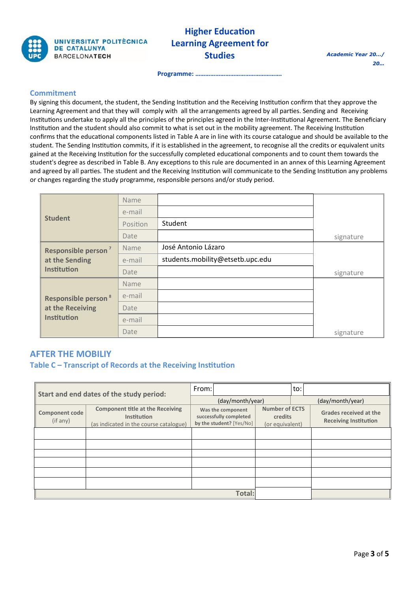

# **Higher Education Learning Agreement for Studies**

**Programme: …………………………………………….**

#### **Commitment**

By signing this document, the student, the Sending Institution and the Receiving Institution confirm that they approve the Learning Agreement and that they will comply with all the arrangements agreed by all parties. Sending and Receiving Institutions undertake to apply all the principles of the principles agreed in the Inter-Institutional Agreement. The Beneficiary Institution and the student should also commit to what is set out in the mobility agreement. The Receiving Institution confirms that the educational components listed in Table A are in line with its course catalogue and should be available to the student. The Sending Institution commits, if it is established in the agreement, to recognise all the credits or equivalent units gained at the Receiving Institution for the successfully completed educational components and to count them towards the student's degree as described in Table B. Any exceptions to this rule are documented in an annex of this Learning Agreement and agreed by all parties. The student and the Receiving Institution will communicate to the Sending Institution any problems or changes regarding the study programme, responsible persons and/or study period.

|                                 | Name     |                                  |           |
|---------------------------------|----------|----------------------------------|-----------|
|                                 | e-mail   |                                  |           |
| <b>Student</b>                  | Position | Student                          |           |
|                                 | Date     |                                  | signature |
| Responsible person <sup>7</sup> | Name     | José Antonio Lázaro              |           |
| at the Sending                  | e-mail   | students.mobility@etsetb.upc.edu |           |
| <b>Institution</b>              | Date     |                                  | signature |
|                                 | Name     |                                  |           |
| Responsible person <sup>8</sup> | e-mail   |                                  |           |
| at the Receiving                | Date     |                                  |           |
| <b>Institution</b>              | e-mail   |                                  |           |
|                                 | Date     |                                  | signature |

## **AFTER THE MOBILIY**

**Table C – Transcript of Records at the Receiving Institution**

| Start and end dates of the study period: |                                                                                                  | From:                                                                   |                  |                                                     | to:              |                                                               |
|------------------------------------------|--------------------------------------------------------------------------------------------------|-------------------------------------------------------------------------|------------------|-----------------------------------------------------|------------------|---------------------------------------------------------------|
|                                          |                                                                                                  |                                                                         | (day/month/year) |                                                     | (day/month/year) |                                                               |
| Component code<br>(if any)               | <b>Component title at the Receiving</b><br>Institution<br>(as indicated in the course catalogue) | Was the component<br>successfully completed<br>by the student? [Yes/No] |                  | <b>Number of ECTS</b><br>credits<br>(or equivalent) |                  | <b>Grades received at the</b><br><b>Receiving Institution</b> |
|                                          |                                                                                                  |                                                                         |                  |                                                     |                  |                                                               |
|                                          |                                                                                                  |                                                                         |                  |                                                     |                  |                                                               |
|                                          |                                                                                                  |                                                                         |                  |                                                     |                  |                                                               |
|                                          |                                                                                                  |                                                                         |                  |                                                     |                  |                                                               |
|                                          |                                                                                                  |                                                                         |                  |                                                     |                  |                                                               |
|                                          |                                                                                                  |                                                                         |                  |                                                     |                  |                                                               |
| Total:                                   |                                                                                                  |                                                                         |                  |                                                     |                  |                                                               |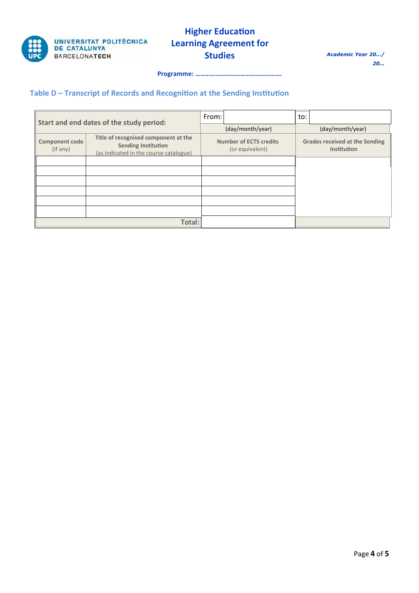

# **Higher Education Learning Agreement for Studies**

*Academic Year 20…/ <sup>20</sup>…*

**Programme: …………………………………………….**

## **Table D – Transcript of Records and Recognition at the Sending Institution**

| Start and end dates of the study period: |                                                                                                              | From:                                            |                  | to: |                                                      |
|------------------------------------------|--------------------------------------------------------------------------------------------------------------|--------------------------------------------------|------------------|-----|------------------------------------------------------|
|                                          |                                                                                                              |                                                  | (day/month/year) |     | (day/month/year)                                     |
| <b>Component code</b><br>(if any)        | Title of recognised component at the<br><b>Sending Institution</b><br>(as indicated in the course catalogue) | <b>Number of ECTS credits</b><br>(or equivalent) |                  |     | <b>Grades received at the Sending</b><br>Institution |
|                                          |                                                                                                              |                                                  |                  |     |                                                      |
|                                          |                                                                                                              |                                                  |                  |     |                                                      |
|                                          |                                                                                                              |                                                  |                  |     |                                                      |
|                                          |                                                                                                              |                                                  |                  |     |                                                      |
|                                          |                                                                                                              |                                                  |                  |     |                                                      |
|                                          |                                                                                                              |                                                  |                  |     |                                                      |
|                                          | Total:                                                                                                       |                                                  |                  |     |                                                      |